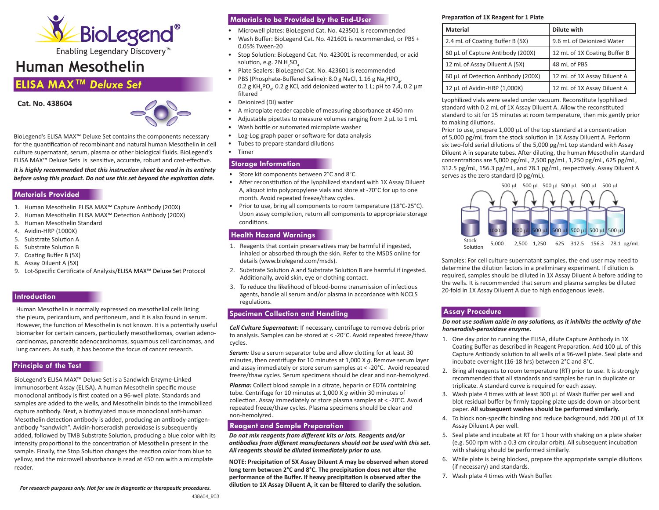

Enabling Legendary Discovery™

# **Human Mesothelin**

# **ELISA MAX™** *Deluxe Set*

**Cat. No. 438604** 



BioLegend's ELISA MAX™ Deluxe Set contains the components necessary for the quantification of recombinant and natural human Mesothelin in cell culture supernatant, serum, plasma or other biological fluids. BioLegend's ELISA MAX™ Deluxe Sets is sensitive, accurate, robust and cost-effective.

*It is highly recommended that this instruction sheet be read in its entirety before using this product. Do not use this set beyond the expiration date.*

#### **Materials Provided**

- 1. Human Mesothelin ELISA MAX™ Capture Antibody (200X)
- 2. Human Mesothelin ELISA MAX™ Detection Antibody (200X)
- 3. Human Mesothelin Standard
- 4. Avidin-HRP (1000X)
- 5. Substrate Solution A
- 6. Substrate Solution B
- 7. Coating Buffer B (5X)
- 8. Assay Diluent A (5X)
- 9. Lot-Specific Certificate of Analysis/ELISA MAX™ Deluxe Set Protocol

#### **Introduction**

Human Mesothelin is normally expressed on mesothelial cells lining the pleura, pericardium, and peritoneum, and it is also found in serum. However, the function of Mesothelin is not known. It is a potentially useful biomarker for certain cancers, particularly mesotheliomas, ovarian adenocarcinomas, pancreatic adenocarcinomas, squamous cell carcinomas, and lung cancers. As such, it has become the focus of cancer research.

## **Principle of the Test**

BioLegend's ELISA MAX™ Deluxe Set is a Sandwich Enzyme-Linked Immunosorbent Assay (ELISA). A human Mesothelin specific mouse monoclonal antibody is first coated on a 96-well plate. Standards and samples are added to the wells, and Mesothelin binds to the immobilized capture antibody. Next, a biotinylated mouse monoclonal anti-human Mesothelin detection antibody is added, producing an antibody-antigenantibody "sandwich". Avidin-horseradish peroxidase is subsequently added, followed by TMB Substrate Solution, producing a blue color with its intensity proportional to the concentration of Mesothelin present in the sample. Finally, the Stop Solution changes the reaction color from blue to yellow, and the microwell absorbance is read at 450 nm with a microplate reader.

# **Materials to be Provided by the End-User**

- Microwell plates: BioLegend Cat. No. 423501 is recommended
- Wash Buffer: BioLegend Cat. No. 421601 is recommended, or PBS + 0.05% Tween-20
- Stop Solution: BioLegend Cat. No. 423001 is recommended, or acid solution, e.g. 2N  $H_2$ SO $_4$
- Plate Sealers: BioLegend Cat. No. 423601 is recommended
- PBS (Phosphate-Buffered Saline): 8.0 g NaCl, 1.16 g Na<sub>2</sub>HPO<sub>4</sub>,  $0.2$  g KH<sub>2</sub>PO<sub>4</sub>, 0.2 g KCl, add deionized water to 1 L; pH to 7.4, 0.2 μm filtered
- Deionized (DI) water
- A microplate reader capable of measuring absorbance at 450 nm
- Adjustable pipettes to measure volumes ranging from 2 μL to 1 mL
- Wash bottle or automated microplate washer
- Log-Log graph paper or software for data analysis
- Tubes to prepare standard dilutions
- Timer

#### **Storage Information**

- Store kit components between 2°C and 8°C.
- After reconstitution of the lyophilized standard with 1X Assay Diluent A, aliquot into polypropylene vials and store at -70°C for up to one month. Avoid repeated freeze/thaw cycles.
- Prior to use, bring all components to room temperature (18°C-25°C). Upon assay completion, return all components to appropriate storage conditions.

#### **Health Hazard Warnings**

- 1. Reagents that contain preservatives may be harmful if ingested, inhaled or absorbed through the skin. Refer to the MSDS online for details (www.biolegend.com/msds).
- 2. Substrate Solution A and Substrate Solution B are harmful if ingested. Additionally, avoid skin, eye or clothing contact.
- 3. To reduce the likelihood of blood-borne transmission of infectious agents, handle all serum and/or plasma in accordance with NCCLS regulations.

## **Specimen Collection and Handling**

*Cell Culture Supernatant:* If necessary, centrifuge to remove debris prior to analysis. Samples can be stored at < -20°C. Avoid repeated freeze/thaw cycles.

**Serum:** Use a serum separator tube and allow clotting for at least 30 minutes, then centrifuge for 10 minutes at 1,000 X *g*. Remove serum layer and assay immediately or store serum samples at < -20°C. Avoid repeated freeze/thaw cycles. Serum specimens should be clear and non-hemolyzed.

*Plasma:* Collect blood sample in a citrate, heparin or EDTA containing tube. Centrifuge for 10 minutes at 1,000 X *g* within 30 minutes of collection. Assay immediately or store plasma samples at < -20°C. Avoid repeated freeze/thaw cycles. Plasma specimens should be clear and non-hemolyzed.

#### **Reagent and Sample Preparation**

*Do not mix reagents from different kits or lots. Reagents and/or antibodies from different manufacturers should not be used with this set. All reagents should be diluted immediately prior to use.*

**NOTE: Precipitation of 5X Assay Diluent A may be observed when stored long term betw**e**en 2°C and 8°C. The precipitation does not alter the performance of the Buffer. If heavy precipitation is observed after the dilution to 1X Assay Diluent A, it can be filtered to clarify the solution.**

#### **Preparation of 1X Reagent for 1 Plate**

| <b>Material</b>                    | <b>Dilute with</b>           |
|------------------------------------|------------------------------|
| 2.4 mL of Coating Buffer B (5X)    | 9.6 mL of Deionized Water    |
| 60 µL of Capture Antibody (200X)   | 12 mL of 1X Coating Buffer B |
| 12 mL of Assay Diluent A (5X)      | 48 mL of PBS                 |
| 60 µL of Detection Antibody (200X) | 12 mL of 1X Assay Diluent A  |
| 12 µL of Avidin-HRP (1,000X)       | 12 mL of 1X Assay Diluent A  |

Lyophilized vials were sealed under vacuum. Reconstitute lyophilized standard with 0.2 mL of 1X Assay Diluent A. Allow the reconstituted standard to sit for 15 minutes at room temperature, then mix gently prior to making dilutions.

Prior to use, prepare  $1,000$   $\mu$ L of the top standard at a concentration of 5,000 pg/mL from the stock solution in 1X Assay Diluent A. Perform six two-fold serial dilutions of the 5,000 pg/mL top standard with Assay Diluent A in separate tubes. After diluting, the human Mesothelin standard concentrations are 5,000 pg/mL, 2,500 pg/mL, 1,250 pg/mL, 625 pg/mL, 312.5 pg/mL, 156.3 pg/mL, and 78.1 pg/mL, respectively. Assay Diluent A serves as the zero standard (0 pg/mL).



Samples: For cell culture supernatant samples, the end user may need to determine the dilution factors in a preliminary experiment. If dilution is required, samples should be diluted in 1X Assay Diluent A before adding to the wells. It is recommended that serum and plasma samples be diluted 20-fold in 1X Assay Diluent A due to high endogenous levels.

#### **Assay Procedure**

*Do not use sodium azide in any solutions, as it inhibits the activity of the horseradish-peroxidase enzyme.* 

- 1. One day prior to running the ELISA, dilute Capture Antibody in 1X Coating Buffer as described in Reagent Preparation. Add 100 μL of this Capture Antibody solution to all wells of a 96-well plate. Seal plate and incubate overnight (16-18 hrs) between 2°C and 8°C.
- 2. Bring all reagents to room temperature (RT) prior to use. It is strongly recommended that all standards and samples be run in duplicate or triplicate. A standard curve is required for each assay.
- 3. Wash plate 4 times with at least 300 μL of Wash Buffer per well and blot residual buffer by firmly tapping plate upside down on absorbent paper. **All subsequent washes should be performed similarly.**
- 4. To block non-specific binding and reduce background, add 200 μL of 1X Assay Diluent A per well.
- 5. Seal plate and incubate at RT for 1 hour with shaking on a plate shaker (e.g. 500 rpm with a 0.3 cm circular orbit). All subsequent incubation with shaking should be performed similarly.
- 6. While plate is being blocked, prepare the appropriate sample dilutions (if necessary) and standards.
- 7. Wash plate 4 times with Wash Buffer.